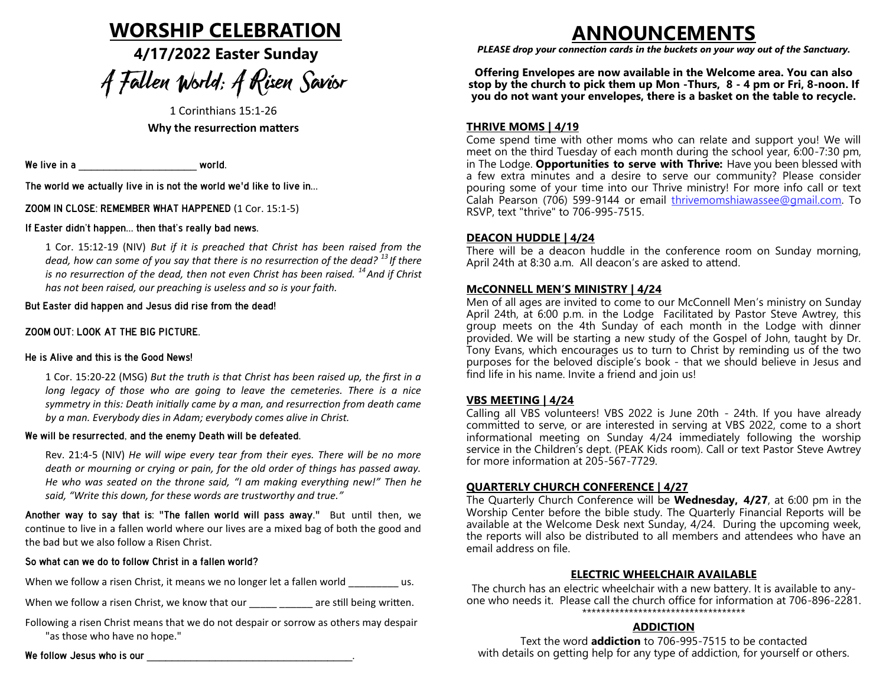# **WORSHIP CELEBRATION**

**4/17/2022 Easter Sunday**

# A Fallen World: A Risen Savior

1 Corinthians 15:1-26 **Why the resurrection matters**

We live in a \_\_\_\_\_\_\_\_\_\_\_\_\_\_\_\_\_\_\_ world.

The world we actually live in is not the world we'd like to live in…

ZOOM IN CLOSE: REMEMBER WHAT HAPPENED (1 Cor. 15:1-5)<br>If Easter didn't happen... then that's really bad news.

If Easter didn't happen… then that's really bad news.

1 Cor. 15:12-19 (NIV) *But if it is preached that Christ has been raised from the dead, how can some of you say that there is no resurrection of the dead? <sup>13</sup>If there is no resurrection of the dead, then not even Christ has been raised. <sup>14</sup>And if Christ has not been raised, our preaching is useless and so is your faith.* 

But Easter did happen and Jesus did rise from the dead!

# He is Alive and this is the Good News!

1 Cor. 15:20-22 (MSG) *But the truth is that Christ has been raised up, the first in a long legacy of those who are going to leave the cemeteries. There is a nice symmetry in this: Death initially came by a man, and resurrection from death came by a man. Everybody dies in Adam; everybody comes alive in Christ.*

#### We will be resurrected, and the enemy Death will be defeated.

Rev. 21:4-5 (NIV) *He will wipe every tear from their eyes. There will be no more death or mourning or crying or pain, for the old order of things has passed away. He who was seated on the throne said, "I am making everything new!" Then he said, "Write this down, for these words are trustworthy and true."*

Another way to say that is: "The fallen world will pass away." But until then, we continue to live in a fallen world where our lives are a mixed bag of both the good and the bad but we also follow a Risen Christ.

When we follow a risen Christ, it means we no longer let a fallen world \_\_\_\_\_\_\_\_\_\_ us.

When we follow a risen Christ, we know that our example are still being written.

Following a risen Christ means that we do not despair or sorrow as others may despair "as those who have no hope."

We follow Jesus who is our  $\blacksquare$ 

# **ANNOUNCEMENTS**

*PLEASE drop your connection cards in the buckets on your way out of the Sanctuary.*

**Offering Envelopes are now available in the Welcome area. You can also stop by the church to pick them up Mon -Thurs, 8 - 4 pm or Fri, 8-noon. If you do not want your envelopes, there is a basket on the table to recycle.**

### **THRIVE MOMS | 4/19**

Come spend time with other moms who can relate and support you! We will meet on the third Tuesday of each month during the school year, 6:00-7:30 pm, in The Lodge. **Opportunities to serve with Thrive:** Have you been blessed with a few extra minutes and a desire to serve our community? Please consider pouring some of your time into our Thrive ministry! For more info call or text Calah Pearson (706) 599-9144 or email [thrivemomshiawassee@gmail.com.](mailto:thrivemomshiawassee@gmail.com?subject=Thrive%20Moms%20at%20McConnell) To RSVP, text "thrive" to 706-995-7515.

#### **DEACON HUDDLE | 4/24**

There will be a deacon huddle in the conference room on Sunday morning, April 24th at 8:30 a.m. All deacon's are asked to attend.

#### **McCONNELL MEN'S MINISTRY | 4/24**

Men of all ages are invited to come to our McConnell Men's ministry on Sunday April 24th, at 6:00 p.m. in the Lodge Facilitated by Pastor Steve Awtrey, this group meets on the 4th Sunday of each month in the Lodge with dinner provided. We will be starting a new study of the Gospel of John, taught by Dr. Tony Evans, which encourages us to turn to Christ by reminding us of the two purposes for the beloved disciple's book - that we should believe in Jesus and find life in his name. Invite a friend and join us!

#### **VBS MEETING | 4/24**

Calling all VBS volunteers! VBS 2022 is June 20th - 24th. If you have already committed to serve, or are interested in serving at VBS 2022, come to a short informational meeting on Sunday 4/24 immediately following the worship service in the Children's dept. (PEAK Kids room). Call or text Pastor Steve Awtrey for more information at 205-567-7729.

#### **QUARTERLY CHURCH CONFERENCE | 4/27**

The Quarterly Church Conference will be **Wednesday, 4/27**, at 6:00 pm in the Worship Center before the bible study. The Quarterly Financial Reports will be available at the Welcome Desk next Sunday, 4/24. During the upcoming week, the reports will also be distributed to all members and attendees who have an email address on file.

#### **ELECTRIC WHEELCHAIR AVAILABLE**

The church has an electric wheelchair with a new battery. It is available to anyone who needs it. Please call the church office for information at 706-896-2281. \*\*\*\*\*\*\*\*\*\*\*\*\*\*\*\*\*\*\*\*\*\*\*\*\*\*\*\*\*\*\*\*\*\*\*

### **ADDICTION**

Text the word **addiction** to 706-995-7515 to be contacted with details on getting help for any type of addiction, for yourself or others.